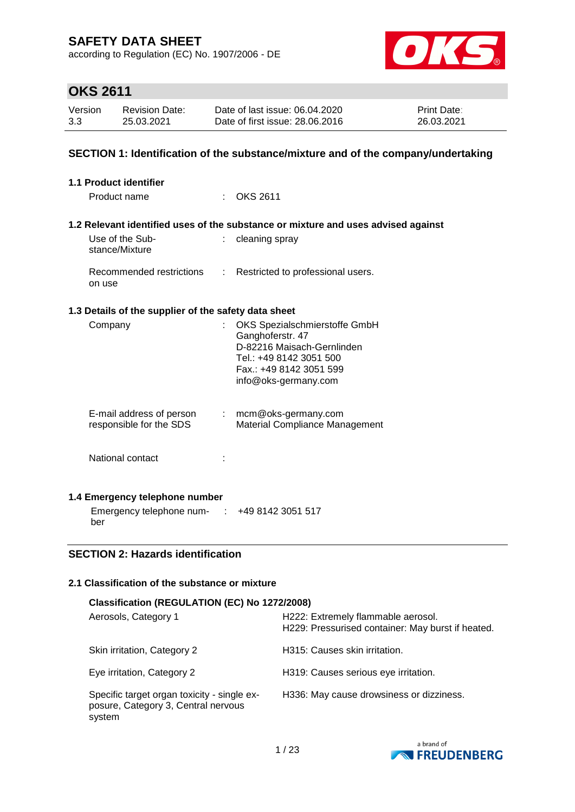according to Regulation (EC) No. 1907/2006 - DE



# **OKS 2611**

| Version | <b>Revision Date:</b> | Date of last issue: 06.04.2020  | <b>Print Date:</b> |
|---------|-----------------------|---------------------------------|--------------------|
| 3.3     | 25.03.2021            | Date of first issue: 28,06,2016 | 26.03.2021         |

### **SECTION 1: Identification of the substance/mixture and of the company/undertaking**

| 1.1 Product identifier                               |    |                                                                                   |
|------------------------------------------------------|----|-----------------------------------------------------------------------------------|
| Product name                                         |    | <b>OKS 2611</b>                                                                   |
|                                                      |    |                                                                                   |
|                                                      |    | 1.2 Relevant identified uses of the substance or mixture and uses advised against |
| Use of the Sub-<br>stance/Mixture                    |    | cleaning spray                                                                    |
| Recommended restrictions<br>on use                   | ÷. | Restricted to professional users.                                                 |
| 1.3 Details of the supplier of the safety data sheet |    |                                                                                   |
| Company                                              | t. | OKS Spezialschmierstoffe GmbH                                                     |
|                                                      |    | Ganghoferstr. 47                                                                  |
|                                                      |    | D-82216 Maisach-Gernlinden                                                        |
|                                                      |    | Tel.: +49 8142 3051 500                                                           |
|                                                      |    | Fax.: +49 8142 3051 599                                                           |
|                                                      |    | info@oks-germany.com                                                              |
|                                                      |    |                                                                                   |
| E-mail address of person                             |    | $:$ mcm@oks-germany.com                                                           |
| responsible for the SDS                              |    | Material Compliance Management                                                    |
| National contact                                     |    |                                                                                   |
|                                                      |    |                                                                                   |
|                                                      |    |                                                                                   |
| 1.4 Emergency telephone number                       |    |                                                                                   |
| Emergency telephone num- : +49 8142 3051 517         |    |                                                                                   |
| ber                                                  |    |                                                                                   |

### **SECTION 2: Hazards identification**

### **2.1 Classification of the substance or mixture**

| Classification (REGULATION (EC) No 1272/2008)                                                |                                                                                         |  |  |  |
|----------------------------------------------------------------------------------------------|-----------------------------------------------------------------------------------------|--|--|--|
| Aerosols, Category 1                                                                         | H222: Extremely flammable aerosol.<br>H229: Pressurised container: May burst if heated. |  |  |  |
| Skin irritation, Category 2                                                                  | H315: Causes skin irritation.                                                           |  |  |  |
| Eye irritation, Category 2                                                                   | H319: Causes serious eye irritation.                                                    |  |  |  |
| Specific target organ toxicity - single ex-<br>posure, Category 3, Central nervous<br>system | H336: May cause drowsiness or dizziness.                                                |  |  |  |

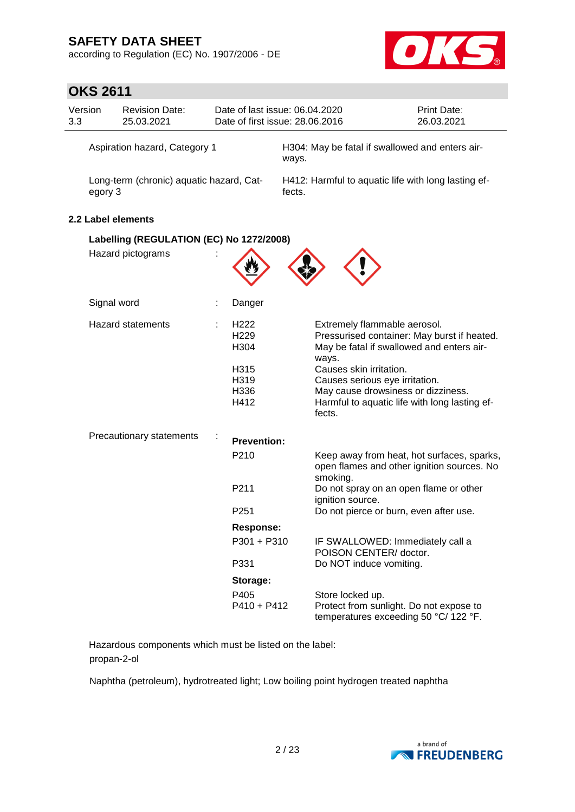according to Regulation (EC) No. 1907/2006 - DE



# **OKS 2611**

| Version<br>3.3                | <b>Revision Date:</b><br>25.03.2021                           |  |                                                                              | Date of last issue: 06.04.2020<br>Date of first issue: 28.06.2016 | Print Date:<br>26.03.2021                                                                                                                                                                                                                         |
|-------------------------------|---------------------------------------------------------------|--|------------------------------------------------------------------------------|-------------------------------------------------------------------|---------------------------------------------------------------------------------------------------------------------------------------------------------------------------------------------------------------------------------------------------|
| Aspiration hazard, Category 1 |                                                               |  | ways.                                                                        | H304: May be fatal if swallowed and enters air-                   |                                                                                                                                                                                                                                                   |
|                               | Long-term (chronic) aquatic hazard, Cat-<br>egory 3           |  |                                                                              | H412: Harmful to aquatic life with long lasting ef-<br>fects.     |                                                                                                                                                                                                                                                   |
|                               | 2.2 Label elements                                            |  |                                                                              |                                                                   |                                                                                                                                                                                                                                                   |
|                               | Labelling (REGULATION (EC) No 1272/2008)<br>Hazard pictograms |  |                                                                              |                                                                   |                                                                                                                                                                                                                                                   |
|                               | Signal word                                                   |  | Danger                                                                       |                                                                   |                                                                                                                                                                                                                                                   |
|                               | <b>Hazard statements</b>                                      |  | H <sub>222</sub><br>H <sub>229</sub><br>H304<br>H315<br>H319<br>H336<br>H412 | ways.<br>Causes skin irritation.<br>fects.                        | Extremely flammable aerosol.<br>Pressurised container: May burst if heated.<br>May be fatal if swallowed and enters air-<br>Causes serious eye irritation.<br>May cause drowsiness or dizziness.<br>Harmful to aquatic life with long lasting ef- |
|                               | Precautionary statements                                      |  | <b>Prevention:</b><br>P210<br>P <sub>211</sub><br>P <sub>251</sub>           | smoking.<br>ignition source.                                      | Keep away from heat, hot surfaces, sparks,<br>open flames and other ignition sources. No<br>Do not spray on an open flame or other<br>Do not pierce or burn, even after use.                                                                      |
|                               |                                                               |  | Response:                                                                    |                                                                   |                                                                                                                                                                                                                                                   |
|                               |                                                               |  | P301 + P310                                                                  |                                                                   | IF SWALLOWED: Immediately call a<br>POISON CENTER/ doctor.                                                                                                                                                                                        |
|                               |                                                               |  | P331                                                                         |                                                                   | Do NOT induce vomiting.                                                                                                                                                                                                                           |
|                               |                                                               |  | Storage:<br>P405<br>$P410 + P412$                                            | Store locked up.                                                  | Protect from sunlight. Do not expose to<br>temperatures exceeding 50 °C/ 122 °F.                                                                                                                                                                  |

Hazardous components which must be listed on the label: propan-2-ol

Naphtha (petroleum), hydrotreated light; Low boiling point hydrogen treated naphtha

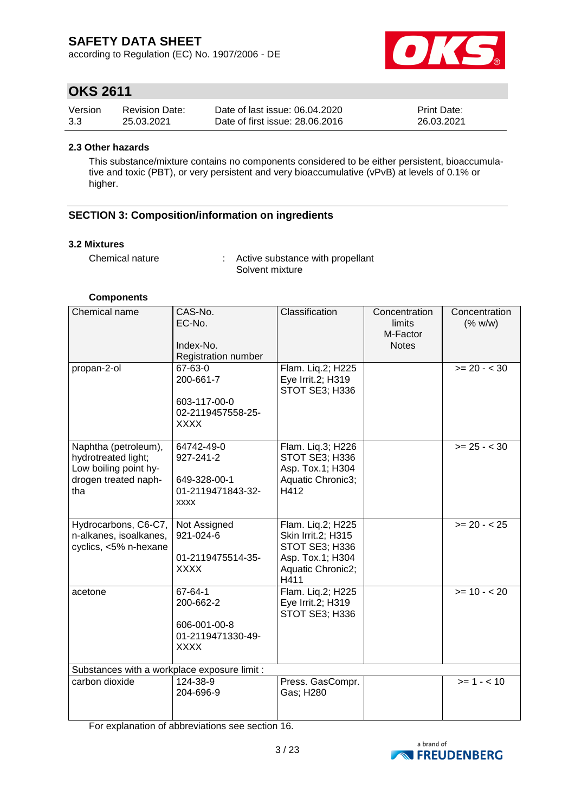according to Regulation (EC) No. 1907/2006 - DE



## **OKS 2611**

| Version | <b>Revision Date:</b> | Date of last issue: 06.04.2020  | <b>Print Date:</b> |
|---------|-----------------------|---------------------------------|--------------------|
| 3.3     | 25.03.2021            | Date of first issue: 28,06,2016 | 26.03.2021         |

#### **2.3 Other hazards**

This substance/mixture contains no components considered to be either persistent, bioaccumulative and toxic (PBT), or very persistent and very bioaccumulative (vPvB) at levels of 0.1% or higher.

### **SECTION 3: Composition/information on ingredients**

#### **3.2 Mixtures**

Chemical nature : Active substance with propellant Solvent mixture

#### **Components**

| Chemical name                                                                                       | CAS-No.<br>EC-No.<br>Index-No.<br>Registration number                       | Classification                                                                                                    | Concentration<br>limits<br>M-Factor<br><b>Notes</b> | Concentration<br>(% w/w) |
|-----------------------------------------------------------------------------------------------------|-----------------------------------------------------------------------------|-------------------------------------------------------------------------------------------------------------------|-----------------------------------------------------|--------------------------|
| propan-2-ol                                                                                         | 67-63-0<br>200-661-7<br>603-117-00-0<br>02-2119457558-25-<br><b>XXXX</b>    | Flam. Liq.2; H225<br>Eye Irrit.2; H319<br>STOT SE3; H336                                                          |                                                     | $>= 20 - < 30$           |
| Naphtha (petroleum),<br>hydrotreated light;<br>Low boiling point hy-<br>drogen treated naph-<br>tha | 64742-49-0<br>927-241-2<br>649-328-00-1<br>01-2119471843-32-<br><b>XXXX</b> | Flam. Liq.3; H226<br>STOT SE3; H336<br>Asp. Tox.1; H304<br>Aquatic Chronic3;<br>H412                              |                                                     | $>= 25 - < 30$           |
| Hydrocarbons, C6-C7,<br>n-alkanes, isoalkanes,<br>cyclics, <5% n-hexane                             | Not Assigned<br>921-024-6<br>01-2119475514-35-<br><b>XXXX</b>               | Flam. Lig.2; H225<br>Skin Irrit.2; H315<br><b>STOT SE3; H336</b><br>Asp. Tox.1; H304<br>Aquatic Chronic2;<br>H411 |                                                     | $>= 20 - 25$             |
| acetone                                                                                             | 67-64-1<br>200-662-2<br>606-001-00-8<br>01-2119471330-49-<br><b>XXXX</b>    | Flam. Liq.2; H225<br>Eye Irrit.2; H319<br>STOT SE3; H336                                                          |                                                     | $>= 10 - 20$             |
| Substances with a workplace exposure limit :                                                        |                                                                             |                                                                                                                   |                                                     |                          |
| carbon dioxide                                                                                      | 124-38-9<br>204-696-9                                                       | Press. GasCompr.<br>Gas; H280                                                                                     |                                                     | $>= 1 - 10$              |

For explanation of abbreviations see section 16.

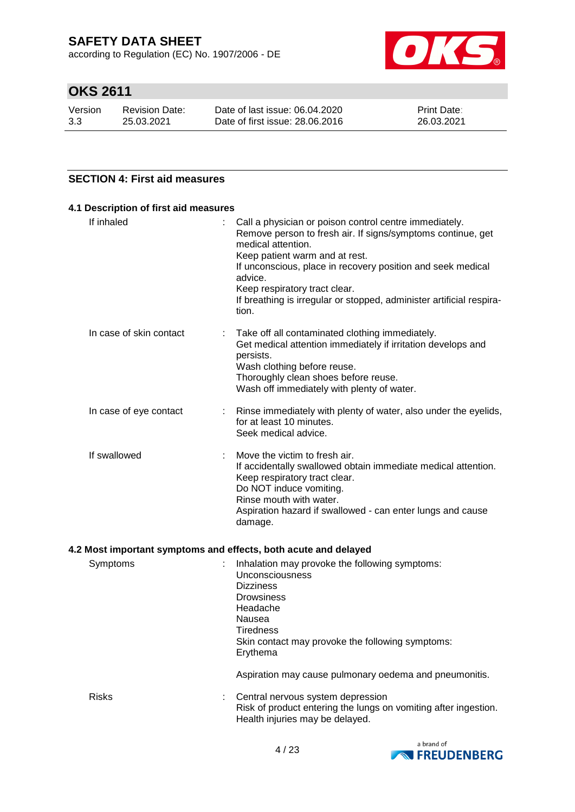according to Regulation (EC) No. 1907/2006 - DE



# **OKS 2611**

| Version | Revision Date: | Date of last issue: 06.04.2020  | <b>Print Date:</b> |
|---------|----------------|---------------------------------|--------------------|
| 3.3     | 25.03.2021     | Date of first issue: 28.06.2016 | 26.03.2021         |

### **SECTION 4: First aid measures**

| If inhaled              | Call a physician or poison control centre immediately.<br>Remove person to fresh air. If signs/symptoms continue, get<br>medical attention.<br>Keep patient warm and at rest.<br>If unconscious, place in recovery position and seek medical<br>advice.<br>Keep respiratory tract clear.<br>If breathing is irregular or stopped, administer artificial respira-<br>tion. |
|-------------------------|---------------------------------------------------------------------------------------------------------------------------------------------------------------------------------------------------------------------------------------------------------------------------------------------------------------------------------------------------------------------------|
| In case of skin contact | Take off all contaminated clothing immediately.<br>Get medical attention immediately if irritation develops and<br>persists.<br>Wash clothing before reuse.<br>Thoroughly clean shoes before reuse.<br>Wash off immediately with plenty of water.                                                                                                                         |
| In case of eye contact  | : Rinse immediately with plenty of water, also under the eyelids,<br>for at least 10 minutes.<br>Seek medical advice.                                                                                                                                                                                                                                                     |
| If swallowed            | Move the victim to fresh air.<br>If accidentally swallowed obtain immediate medical attention.<br>Keep respiratory tract clear.<br>Do NOT induce vomiting.<br>Rinse mouth with water.<br>Aspiration hazard if swallowed - can enter lungs and cause<br>damage.                                                                                                            |

| Symptoms     | Inhalation may provoke the following symptoms:<br>Unconsciousness<br><b>Dizziness</b><br><b>Drowsiness</b><br>Headache<br>Nausea<br>Tiredness<br>Skin contact may provoke the following symptoms:<br>Erythema |
|--------------|---------------------------------------------------------------------------------------------------------------------------------------------------------------------------------------------------------------|
|              | Aspiration may cause pulmonary oedema and pneumonitis.                                                                                                                                                        |
| <b>Risks</b> | Central nervous system depression<br>Risk of product entering the lungs on vomiting after ingestion.<br>Health injuries may be delayed.                                                                       |

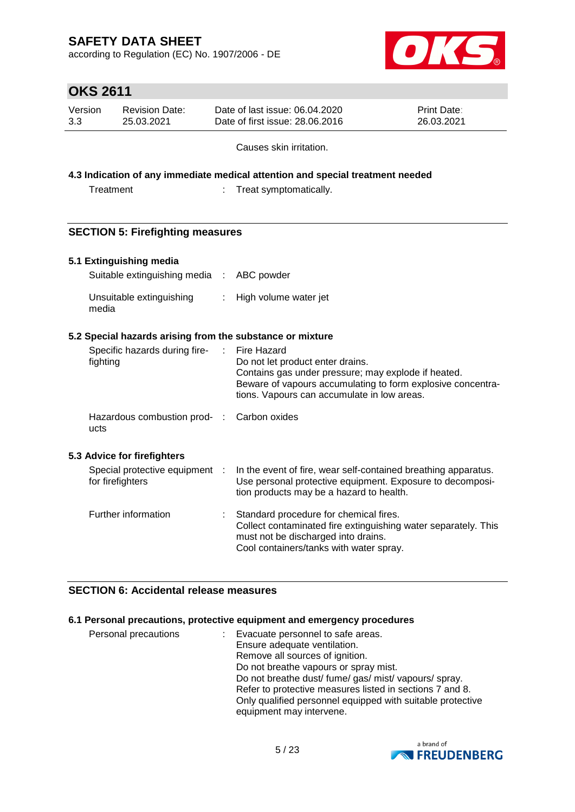according to Regulation (EC) No. 1907/2006 - DE



# **OKS 2611**

| Version<br>Date of last issue: 06.04.2020<br><b>Print Date:</b><br>Revision Date:<br>3.3<br>Date of first issue: 28.06.2016<br>26.03.2021<br>25.03.2021 |  |
|---------------------------------------------------------------------------------------------------------------------------------------------------------|--|
|---------------------------------------------------------------------------------------------------------------------------------------------------------|--|

Causes skin irritation.

**4.3 Indication of any immediate medical attention and special treatment needed**

Treatment : Treat symptomatically.

### **SECTION 5: Firefighting measures**

### **5.1 Extinguishing media**

| Suitable extinguishing media : ABC powder |                         |
|-------------------------------------------|-------------------------|
| Unsuitable extinguishing<br>media         | : High volume water jet |

### **5.2 Special hazards arising from the substance or mixture**

| Specific hazards during fire-<br>fighting          | ÷. | Fire Hazard<br>Do not let product enter drains.<br>Contains gas under pressure; may explode if heated.<br>Beware of vapours accumulating to form explosive concentra-<br>tions. Vapours can accumulate in low areas. |
|----------------------------------------------------|----|----------------------------------------------------------------------------------------------------------------------------------------------------------------------------------------------------------------------|
| Hazardous combustion prod- : Carbon oxides<br>ucts |    |                                                                                                                                                                                                                      |
| 5.3 Advice for firefighters                        |    |                                                                                                                                                                                                                      |
| Special protective equipment :<br>for firefighters |    | In the event of fire, wear self-contained breathing apparatus.<br>Use personal protective equipment. Exposure to decomposi-<br>tion products may be a hazard to health.                                              |
| Further information                                |    | Standard procedure for chemical fires.<br>Collect contaminated fire extinguishing water separately. This<br>must not be discharged into drains.<br>Cool containers/tanks with water spray.                           |

### **SECTION 6: Accidental release measures**

### **6.1 Personal precautions, protective equipment and emergency procedures**

| Personal precautions | Evacuate personnel to safe areas.                          |
|----------------------|------------------------------------------------------------|
|                      | Ensure adequate ventilation.                               |
|                      | Remove all sources of ignition.                            |
|                      | Do not breathe vapours or spray mist.                      |
|                      | Do not breathe dust/ fume/ gas/ mist/ vapours/ spray.      |
|                      | Refer to protective measures listed in sections 7 and 8.   |
|                      | Only qualified personnel equipped with suitable protective |
|                      | equipment may intervene.                                   |

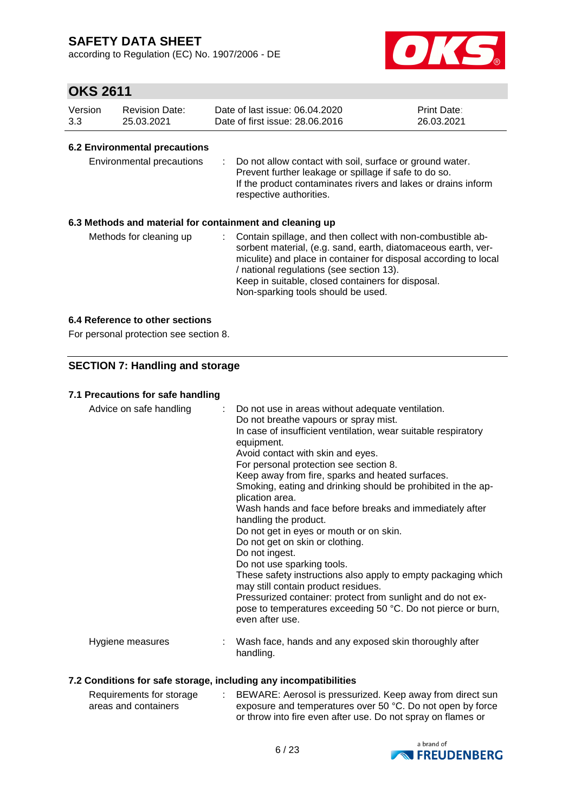according to Regulation (EC) No. 1907/2006 - DE



### **OKS 2611**

| Version | <b>Revision Date:</b> | Date of last issue: 06.04.2020  | <b>Print Date:</b> |
|---------|-----------------------|---------------------------------|--------------------|
| 3.3     | 25.03.2021            | Date of first issue: 28,06,2016 | 26.03.2021         |

### **6.2 Environmental precautions**

| Environmental precautions |  | : Do not allow contact with soil, surface or ground water.<br>Prevent further leakage or spillage if safe to do so.<br>If the product contaminates rivers and lakes or drains inform<br>respective authorities. |
|---------------------------|--|-----------------------------------------------------------------------------------------------------------------------------------------------------------------------------------------------------------------|
|---------------------------|--|-----------------------------------------------------------------------------------------------------------------------------------------------------------------------------------------------------------------|

### **6.3 Methods and material for containment and cleaning up**

| Methods for cleaning up |  | : Contain spillage, and then collect with non-combustible ab-<br>sorbent material, (e.g. sand, earth, diatomaceous earth, ver-<br>miculite) and place in container for disposal according to local<br>/ national regulations (see section 13).<br>Keep in suitable, closed containers for disposal.<br>Non-sparking tools should be used. |
|-------------------------|--|-------------------------------------------------------------------------------------------------------------------------------------------------------------------------------------------------------------------------------------------------------------------------------------------------------------------------------------------|
|-------------------------|--|-------------------------------------------------------------------------------------------------------------------------------------------------------------------------------------------------------------------------------------------------------------------------------------------------------------------------------------------|

### **6.4 Reference to other sections**

For personal protection see section 8.

### **SECTION 7: Handling and storage**

### **7.1 Precautions for safe handling**

| Advice on safe handling | : Do not use in areas without adequate ventilation.<br>Do not breathe vapours or spray mist.<br>In case of insufficient ventilation, wear suitable respiratory<br>equipment.<br>Avoid contact with skin and eyes.<br>For personal protection see section 8.<br>Keep away from fire, sparks and heated surfaces.<br>Smoking, eating and drinking should be prohibited in the ap-<br>plication area.<br>Wash hands and face before breaks and immediately after<br>handling the product.<br>Do not get in eyes or mouth or on skin.<br>Do not get on skin or clothing.<br>Do not ingest.<br>Do not use sparking tools.<br>These safety instructions also apply to empty packaging which<br>may still contain product residues.<br>Pressurized container: protect from sunlight and do not ex-<br>pose to temperatures exceeding 50 °C. Do not pierce or burn,<br>even after use. |
|-------------------------|--------------------------------------------------------------------------------------------------------------------------------------------------------------------------------------------------------------------------------------------------------------------------------------------------------------------------------------------------------------------------------------------------------------------------------------------------------------------------------------------------------------------------------------------------------------------------------------------------------------------------------------------------------------------------------------------------------------------------------------------------------------------------------------------------------------------------------------------------------------------------------|
| Hygiene measures        | Wash face, hands and any exposed skin thoroughly after<br>handling.                                                                                                                                                                                                                                                                                                                                                                                                                                                                                                                                                                                                                                                                                                                                                                                                            |

### **7.2 Conditions for safe storage, including any incompatibilities**

| Requirements for storage | BEWARE: Aerosol is pressurized. Keep away from direct sun    |
|--------------------------|--------------------------------------------------------------|
| areas and containers     | exposure and temperatures over 50 °C. Do not open by force   |
|                          | or throw into fire even after use. Do not spray on flames or |

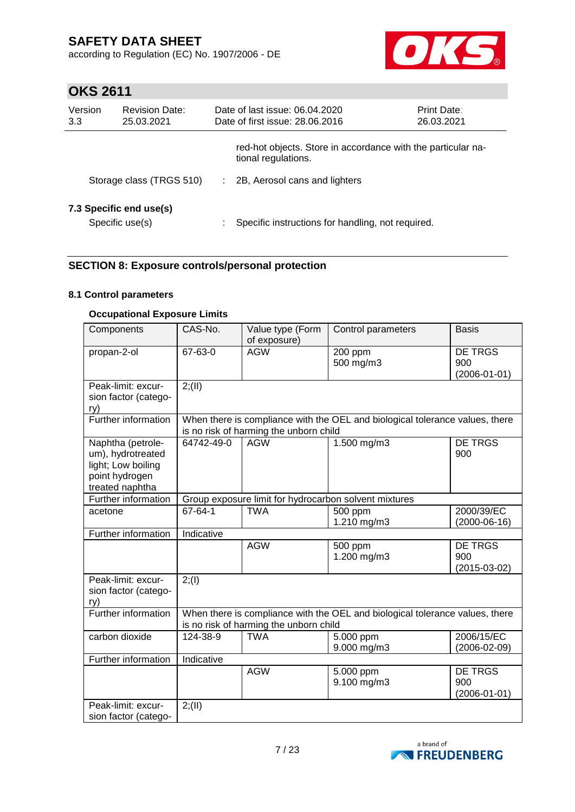according to Regulation (EC) No. 1907/2006 - DE



# **OKS 2611**

| Version<br>3.3 | <b>Revision Date:</b><br>25.03.2021        |   | Date of last issue: 06.04.2020<br>Date of first issue: 28.06.2016                   | <b>Print Date:</b><br>26.03.2021 |
|----------------|--------------------------------------------|---|-------------------------------------------------------------------------------------|----------------------------------|
|                |                                            |   | red-hot objects. Store in accordance with the particular na-<br>tional regulations. |                                  |
|                | Storage class (TRGS 510)                   | ÷ | 2B, Aerosol cans and lighters                                                       |                                  |
|                | 7.3 Specific end use(s)<br>Specific use(s) |   | Specific instructions for handling, not required.                                   |                                  |

### **SECTION 8: Exposure controls/personal protection**

### **8.1 Control parameters**

### **Occupational Exposure Limits**

| Components                                                                                        | CAS-No.    | Value type (Form<br>of exposure)       | Control parameters                                                           | <b>Basis</b>                                |
|---------------------------------------------------------------------------------------------------|------------|----------------------------------------|------------------------------------------------------------------------------|---------------------------------------------|
| propan-2-ol                                                                                       | 67-63-0    | <b>AGW</b>                             | 200 ppm<br>500 mg/m3                                                         | DE TRGS<br>900<br>$(2006 - 01 - 01)$        |
| Peak-limit: excur-<br>sion factor (catego-<br>ry)                                                 | 2; (II)    |                                        |                                                                              |                                             |
| Further information                                                                               |            | is no risk of harming the unborn child | When there is compliance with the OEL and biological tolerance values, there |                                             |
| Naphtha (petrole-<br>um), hydrotreated<br>light; Low boiling<br>point hydrogen<br>treated naphtha | 64742-49-0 | <b>AGW</b>                             | $1.500$ mg/m3                                                                | <b>DE TRGS</b><br>900                       |
| Further information                                                                               |            |                                        | Group exposure limit for hydrocarbon solvent mixtures                        |                                             |
| acetone                                                                                           | 67-64-1    | <b>TWA</b>                             | 500 ppm<br>1.210 mg/m3                                                       | 2000/39/EC<br>$(2000-06-16)$                |
| Further information                                                                               | Indicative |                                        |                                                                              |                                             |
|                                                                                                   |            | <b>AGW</b>                             | 500 ppm<br>1.200 mg/m3                                                       | <b>DE TRGS</b><br>900<br>$(2015-03-02)$     |
| Peak-limit: excur-<br>sion factor (catego-<br>ry)                                                 | 2; (1)     |                                        |                                                                              |                                             |
| Further information                                                                               |            | is no risk of harming the unborn child | When there is compliance with the OEL and biological tolerance values, there |                                             |
| carbon dioxide                                                                                    | 124-38-9   | <b>TWA</b>                             | 5.000 ppm<br>9.000 mg/m3                                                     | 2006/15/EC<br>$(2006 - 02 - 09)$            |
| Further information                                                                               | Indicative |                                        |                                                                              |                                             |
|                                                                                                   |            | <b>AGW</b>                             | 5.000 ppm<br>9.100 mg/m3                                                     | <b>DE TRGS</b><br>900<br>$(2006 - 01 - 01)$ |
| Peak-limit: excur-<br>sion factor (catego-                                                        | 2; (II)    |                                        |                                                                              |                                             |

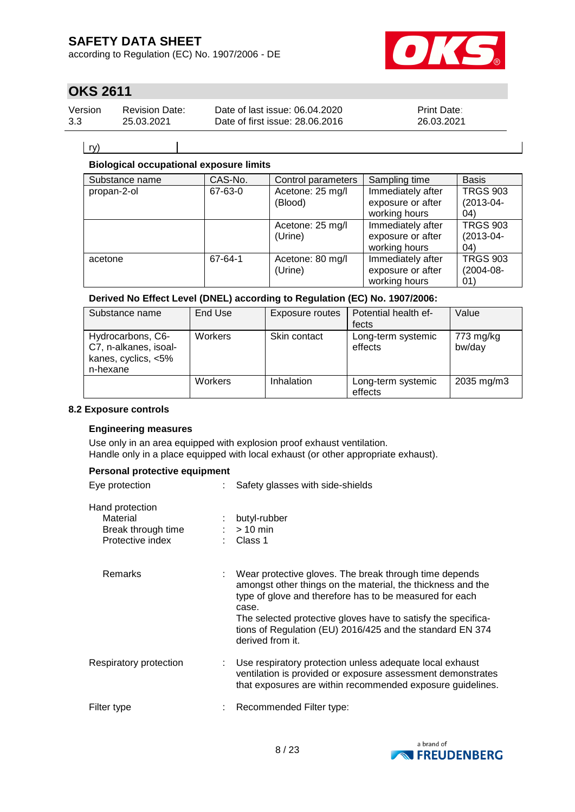according to Regulation (EC) No. 1907/2006 - DE



# **OKS 2611**

| Version | <b>Revision Date:</b> | Date of last issue: 06.04.2020  | <b>Print Date:</b> |
|---------|-----------------------|---------------------------------|--------------------|
| 3.3     | 25.03.2021            | Date of first issue: 28,06,2016 | 26.03.2021         |

ry)

### **Biological occupational exposure limits**

| Substance name | CAS-No. | Control parameters          | Sampling time                                           | <b>Basis</b>                             |
|----------------|---------|-----------------------------|---------------------------------------------------------|------------------------------------------|
| propan-2-ol    | 67-63-0 | Acetone: 25 mg/l<br>(Blood) | Immediately after<br>exposure or after<br>working hours | <b>TRGS 903</b><br>$(2013 - 04 -$<br>04) |
|                |         | Acetone: 25 mg/l<br>(Urine) | Immediately after<br>exposure or after<br>working hours | <b>TRGS 903</b><br>$(2013 - 04 -$<br>04) |
| acetone        | 67-64-1 | Acetone: 80 mg/l<br>(Urine) | Immediately after<br>exposure or after<br>working hours | <b>TRGS 903</b><br>$(2004 - 08 -$<br>01) |

### **Derived No Effect Level (DNEL) according to Regulation (EC) No. 1907/2006:**

| Substance name                                                                | End Use | Exposure routes | Potential health ef-<br>fects | Value               |
|-------------------------------------------------------------------------------|---------|-----------------|-------------------------------|---------------------|
| Hydrocarbons, C6-<br>C7, n-alkanes, isoal-<br>kanes, cyclics, <5%<br>n-hexane | Workers | Skin contact    | Long-term systemic<br>effects | 773 mg/kg<br>bw/day |
|                                                                               | Workers | Inhalation      | Long-term systemic<br>effects | 2035 mg/m3          |

#### **8.2 Exposure controls**

### **Engineering measures**

Use only in an area equipped with explosion proof exhaust ventilation. Handle only in a place equipped with local exhaust (or other appropriate exhaust).

#### **Personal protective equipment**

| Eye protection                                                        | Safety glasses with side-shields                                                                                                                                                                                                                                                                                                            |  |
|-----------------------------------------------------------------------|---------------------------------------------------------------------------------------------------------------------------------------------------------------------------------------------------------------------------------------------------------------------------------------------------------------------------------------------|--|
| Hand protection<br>Material<br>Break through time<br>Protective index | butyl-rubber<br>$>10$ min<br>Class 1                                                                                                                                                                                                                                                                                                        |  |
| Remarks                                                               | Wear protective gloves. The break through time depends<br>amongst other things on the material, the thickness and the<br>type of glove and therefore has to be measured for each<br>case.<br>The selected protective gloves have to satisfy the specifica-<br>tions of Regulation (EU) 2016/425 and the standard EN 374<br>derived from it. |  |
| Respiratory protection                                                | Use respiratory protection unless adequate local exhaust<br>ventilation is provided or exposure assessment demonstrates<br>that exposures are within recommended exposure guidelines.                                                                                                                                                       |  |
| Filter type                                                           | Recommended Filter type:                                                                                                                                                                                                                                                                                                                    |  |

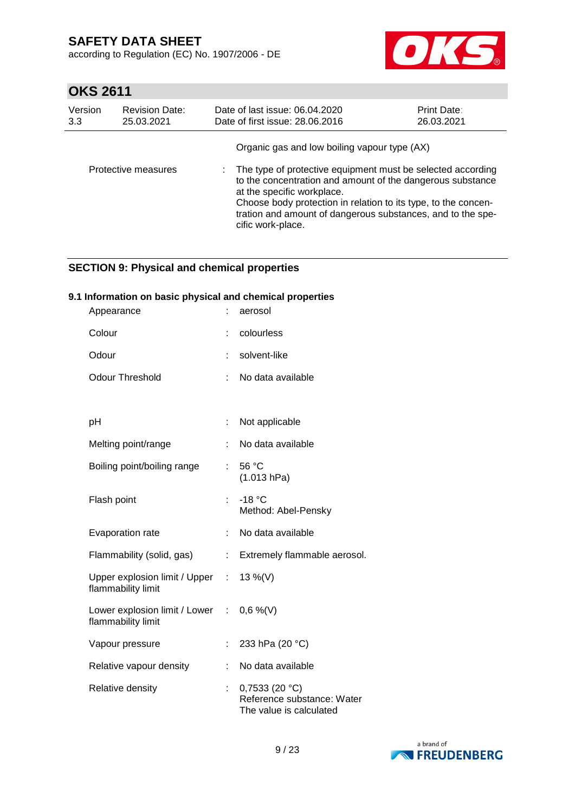according to Regulation (EC) No. 1907/2006 - DE



# **OKS 2611**

| Version | <b>Revision Date:</b> | Date of last issue: 06.04.2020                                                                                                                                                                                                                                                                                                                                  | <b>Print Date:</b> |
|---------|-----------------------|-----------------------------------------------------------------------------------------------------------------------------------------------------------------------------------------------------------------------------------------------------------------------------------------------------------------------------------------------------------------|--------------------|
| 3.3     | 25.03.2021            | Date of first issue: 28.06.2016                                                                                                                                                                                                                                                                                                                                 | 26.03.2021         |
|         | Protective measures   | Organic gas and low boiling vapour type (AX)<br>: The type of protective equipment must be selected according<br>to the concentration and amount of the dangerous substance<br>at the specific workplace.<br>Choose body protection in relation to its type, to the concen-<br>tration and amount of dangerous substances, and to the spe-<br>cific work-place. |                    |

### **SECTION 9: Physical and chemical properties**

### **9.1 Information on basic physical and chemical properties**

| Appearance                                                        |                              | aerosol                                                                |
|-------------------------------------------------------------------|------------------------------|------------------------------------------------------------------------|
| Colour                                                            |                              | colourless                                                             |
| Odour                                                             | ÷                            | solvent-like                                                           |
| <b>Odour Threshold</b>                                            |                              | No data available                                                      |
|                                                                   |                              |                                                                        |
| рH                                                                | t                            | Not applicable                                                         |
| Melting point/range                                               | ÷                            | No data available                                                      |
| Boiling point/boiling range                                       | ÷.                           | 56 °C<br>(1.013 hPa)                                                   |
| Flash point                                                       |                              | $-18 °C$<br>Method: Abel-Pensky                                        |
| Evaporation rate                                                  | ÷                            | No data available                                                      |
| Flammability (solid, gas)                                         | $\mathcal{L}_{\mathrm{max}}$ | Extremely flammable aerosol.                                           |
| Upper explosion limit / Upper :<br>flammability limit             |                              | 13 %(V)                                                                |
| Lower explosion limit / Lower : $0,6\%$ (V)<br>flammability limit |                              |                                                                        |
| Vapour pressure                                                   | t,                           | 233 hPa (20 °C)                                                        |
| Relative vapour density                                           |                              | No data available                                                      |
| Relative density                                                  | ÷                            | 0,7533(20 °C)<br>Reference substance: Water<br>The value is calculated |

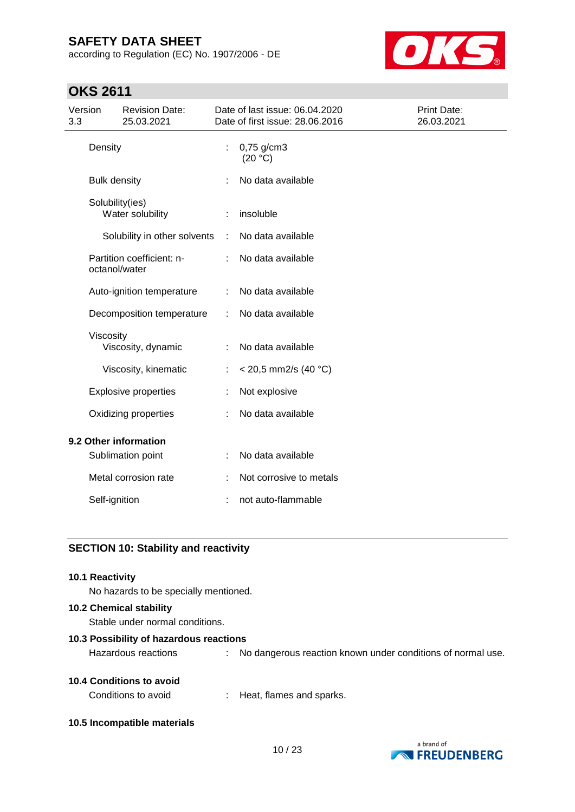according to Regulation (EC) No. 1907/2006 - DE



# **OKS 2611**

| Version<br>3.3 |                      | <b>Revision Date:</b><br>25.03.2021 |   | Date of last issue: 06.04.2020<br>Date of first issue: 28.06.2016 | Print Date:<br>26.03.2021 |
|----------------|----------------------|-------------------------------------|---|-------------------------------------------------------------------|---------------------------|
|                | Density              |                                     | t | $0,75$ g/cm3<br>(20 °C)                                           |                           |
|                | <b>Bulk density</b>  |                                     |   | No data available                                                 |                           |
|                | Solubility(ies)      | Water solubility                    |   | insoluble                                                         |                           |
|                |                      | Solubility in other solvents        | ÷ | No data available                                                 |                           |
|                | octanol/water        | Partition coefficient: n-           |   | No data available                                                 |                           |
|                |                      | Auto-ignition temperature           | ÷ | No data available                                                 |                           |
|                |                      | Decomposition temperature           | ÷ | No data available                                                 |                           |
|                | Viscosity            | Viscosity, dynamic                  |   | No data available                                                 |                           |
|                |                      | Viscosity, kinematic                |   | < 20,5 mm2/s (40 °C)                                              |                           |
|                |                      | <b>Explosive properties</b>         |   | Not explosive                                                     |                           |
|                | Oxidizing properties |                                     |   | No data available                                                 |                           |
|                |                      | 9.2 Other information               |   |                                                                   |                           |
|                |                      | Sublimation point                   |   | No data available                                                 |                           |
|                |                      | Metal corrosion rate                |   | Not corrosive to metals                                           |                           |
|                | Self-ignition        |                                     |   | not auto-flammable                                                |                           |
|                |                      |                                     |   |                                                                   |                           |

### **SECTION 10: Stability and reactivity**

# **10.1 Reactivity** No hazards to be specially mentioned.

### **10.2 Chemical stability**

Stable under normal conditions.

### **10.3 Possibility of hazardous reactions**

Hazardous reactions : No dangerous reaction known under conditions of normal use.

### **10.4 Conditions to avoid**

Conditions to avoid : Heat, flames and sparks.

**10.5 Incompatible materials**

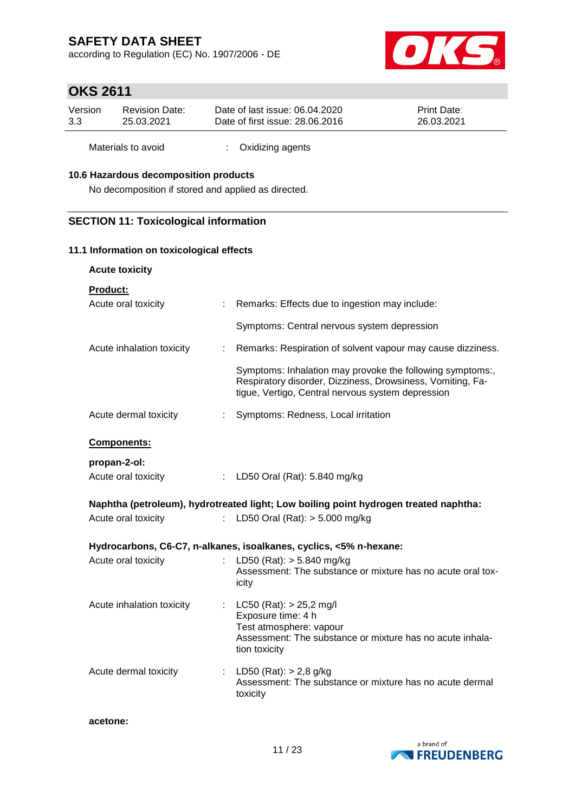according to Regulation (EC) No. 1907/2006 - DE



# **OKS 2611**

| Version | Revision Date: | Date of last issue: 06.04.2020  | <b>Print Date:</b> |
|---------|----------------|---------------------------------|--------------------|
| 3.3     | 25.03.2021     | Date of first issue: 28,06,2016 | 26.03.2021         |
|         |                |                                 |                    |

Materials to avoid : Oxidizing agents

### **10.6 Hazardous decomposition products**

No decomposition if stored and applied as directed.

### **SECTION 11: Toxicological information**

### **11.1 Information on toxicological effects**

| <b>Acute toxicity</b>     |    |                                                                                                                                                                              |
|---------------------------|----|------------------------------------------------------------------------------------------------------------------------------------------------------------------------------|
| <b>Product:</b>           |    |                                                                                                                                                                              |
| Acute oral toxicity       |    | : Remarks: Effects due to ingestion may include:                                                                                                                             |
|                           |    | Symptoms: Central nervous system depression                                                                                                                                  |
| Acute inhalation toxicity | ÷. | Remarks: Respiration of solvent vapour may cause dizziness.                                                                                                                  |
|                           |    | Symptoms: Inhalation may provoke the following symptoms:,<br>Respiratory disorder, Dizziness, Drowsiness, Vomiting, Fa-<br>tigue, Vertigo, Central nervous system depression |
| Acute dermal toxicity     |    | : Symptoms: Redness, Local irritation                                                                                                                                        |
| Components:               |    |                                                                                                                                                                              |
| propan-2-ol:              |    |                                                                                                                                                                              |
| Acute oral toxicity       |    | : LD50 Oral (Rat): 5.840 mg/kg                                                                                                                                               |
|                           |    | Naphtha (petroleum), hydrotreated light; Low boiling point hydrogen treated naphtha:                                                                                         |
| Acute oral toxicity       |    | LD50 Oral (Rat): $> 5.000$ mg/kg                                                                                                                                             |
|                           |    | Hydrocarbons, C6-C7, n-alkanes, isoalkanes, cyclics, <5% n-hexane:                                                                                                           |
| Acute oral toxicity       |    | LD50 (Rat): $> 5.840$ mg/kg<br>Assessment: The substance or mixture has no acute oral tox-<br>icity                                                                          |
| Acute inhalation toxicity |    | : $LC50 (Rat): > 25,2$ mg/l<br>Exposure time: 4 h<br>Test atmosphere: vapour<br>Assessment: The substance or mixture has no acute inhala-<br>tion toxicity                   |
| Acute dermal toxicity     |    | : LD50 (Rat): $> 2,8$ g/kg<br>Assessment: The substance or mixture has no acute dermal<br>toxicity                                                                           |

**acetone:**

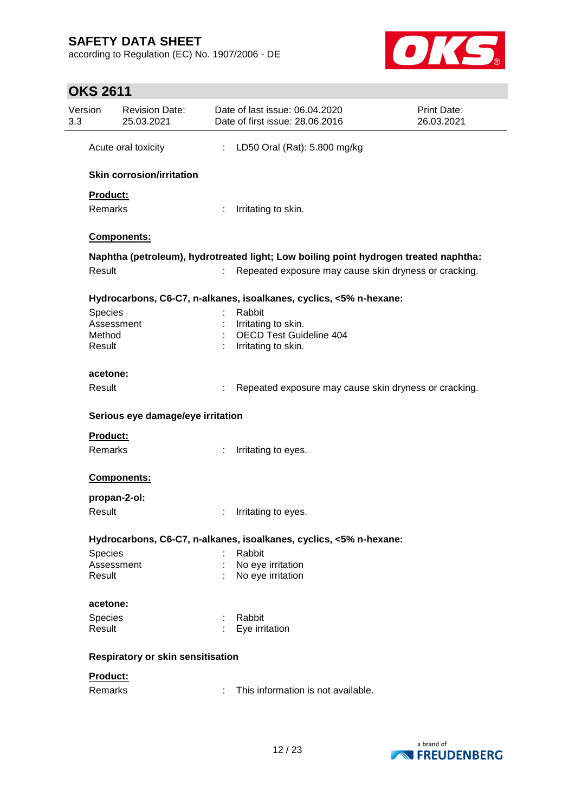according to Regulation (EC) No. 1907/2006 - DE



|                | <b>Revision Date:</b><br>25.03.2021      |    | Date of last issue: 06.04.2020<br>Date of first issue: 28.06.2016                    | <b>Print Date:</b><br>26.03.2021 |
|----------------|------------------------------------------|----|--------------------------------------------------------------------------------------|----------------------------------|
|                | Acute oral toxicity                      | ÷. | LD50 Oral (Rat): 5.800 mg/kg                                                         |                                  |
|                | <b>Skin corrosion/irritation</b>         |    |                                                                                      |                                  |
| Product:       |                                          |    |                                                                                      |                                  |
| Remarks        |                                          | t. | Irritating to skin.                                                                  |                                  |
|                | Components:                              |    |                                                                                      |                                  |
|                |                                          |    | Naphtha (petroleum), hydrotreated light; Low boiling point hydrogen treated naphtha: |                                  |
| Result         |                                          |    | Repeated exposure may cause skin dryness or cracking.                                |                                  |
|                |                                          |    | Hydrocarbons, C6-C7, n-alkanes, isoalkanes, cyclics, <5% n-hexane:                   |                                  |
| Species        |                                          |    | Rabbit                                                                               |                                  |
|                | Assessment                               |    | Irritating to skin.                                                                  |                                  |
| Method         |                                          |    | <b>OECD Test Guideline 404</b>                                                       |                                  |
| Result         |                                          |    | Irritating to skin.                                                                  |                                  |
| acetone:       |                                          |    |                                                                                      |                                  |
| Result         |                                          |    | Repeated exposure may cause skin dryness or cracking.                                |                                  |
|                | Serious eye damage/eye irritation        |    |                                                                                      |                                  |
|                |                                          |    |                                                                                      |                                  |
| Product:       |                                          |    |                                                                                      |                                  |
| <b>Remarks</b> |                                          |    | Irritating to eyes.                                                                  |                                  |
|                | Components:                              |    |                                                                                      |                                  |
|                | propan-2-ol:                             |    |                                                                                      |                                  |
| Result         |                                          |    | Irritating to eyes.                                                                  |                                  |
|                |                                          |    | Hydrocarbons, C6-C7, n-alkanes, isoalkanes, cyclics, <5% n-hexane:                   |                                  |
| Species        |                                          |    | Rabbit                                                                               |                                  |
|                | Assessment                               |    | No eye irritation                                                                    |                                  |
| Result         |                                          |    | No eye irritation                                                                    |                                  |
| acetone:       |                                          |    |                                                                                      |                                  |
| <b>Species</b> |                                          |    | Rabbit                                                                               |                                  |
| Result         |                                          |    | : Eye irritation                                                                     |                                  |
|                | <b>Respiratory or skin sensitisation</b> |    |                                                                                      |                                  |
| Product:       |                                          |    |                                                                                      |                                  |

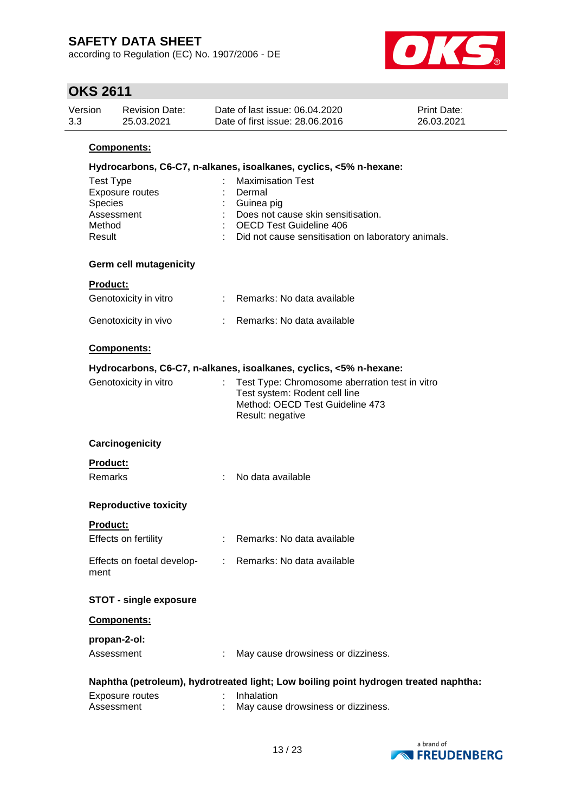according to Regulation (EC) No. 1907/2006 - DE



| <b>UKS 2611</b>                                 |                                     |    |                                                                                                                                                                                |                                  |
|-------------------------------------------------|-------------------------------------|----|--------------------------------------------------------------------------------------------------------------------------------------------------------------------------------|----------------------------------|
| Version                                         | <b>Revision Date:</b><br>25.03.2021 |    | Date of last issue: 06.04.2020<br>Date of first issue: 28.06.2016                                                                                                              | <b>Print Date:</b><br>26.03.2021 |
|                                                 | Components:                         |    |                                                                                                                                                                                |                                  |
|                                                 |                                     |    | Hydrocarbons, C6-C7, n-alkanes, isoalkanes, cyclics, <5% n-hexane:                                                                                                             |                                  |
| <b>Test Type</b><br>Species<br>Method<br>Result | Exposure routes<br>Assessment       |    | <b>Maximisation Test</b><br>Dermal<br>Guinea pig<br>Does not cause skin sensitisation.<br><b>OECD Test Guideline 406</b><br>Did not cause sensitisation on laboratory animals. |                                  |
|                                                 | <b>Germ cell mutagenicity</b>       |    |                                                                                                                                                                                |                                  |
| Product:                                        |                                     |    |                                                                                                                                                                                |                                  |
|                                                 | Genotoxicity in vitro               |    | : Remarks: No data available                                                                                                                                                   |                                  |
|                                                 | Genotoxicity in vivo                |    | : Remarks: No data available                                                                                                                                                   |                                  |
|                                                 | Components:                         |    |                                                                                                                                                                                |                                  |
|                                                 |                                     |    | Hydrocarbons, C6-C7, n-alkanes, isoalkanes, cyclics, <5% n-hexane:                                                                                                             |                                  |
|                                                 | Genotoxicity in vitro               | ÷. | Test Type: Chromosome aberration test in vitro<br>Test system: Rodent cell line<br>Method: OECD Test Guideline 473<br>Result: negative                                         |                                  |
|                                                 | Carcinogenicity                     |    |                                                                                                                                                                                |                                  |
| Product:                                        |                                     |    |                                                                                                                                                                                |                                  |
| <b>Remarks</b>                                  |                                     |    | No data available                                                                                                                                                              |                                  |
|                                                 | <b>Reproductive toxicity</b>        |    |                                                                                                                                                                                |                                  |
| <u>Product:</u>                                 |                                     |    |                                                                                                                                                                                |                                  |
|                                                 | Effects on fertility                |    | Remarks: No data available                                                                                                                                                     |                                  |
| ment                                            | Effects on foetal develop-          |    | : Remarks: No data available                                                                                                                                                   |                                  |
|                                                 | <b>STOT - single exposure</b>       |    |                                                                                                                                                                                |                                  |
|                                                 | Components:                         |    |                                                                                                                                                                                |                                  |
|                                                 | propan-2-ol:                        |    |                                                                                                                                                                                |                                  |
|                                                 | Assessment                          |    | May cause drowsiness or dizziness.                                                                                                                                             |                                  |
|                                                 |                                     |    | Naphtha (petroleum), hydrotreated light; Low boiling point hydrogen treated naphtha:                                                                                           |                                  |
|                                                 | Exposure routes<br>Assessment       |    | Inhalation<br>May cause drowsiness or dizziness.                                                                                                                               |                                  |

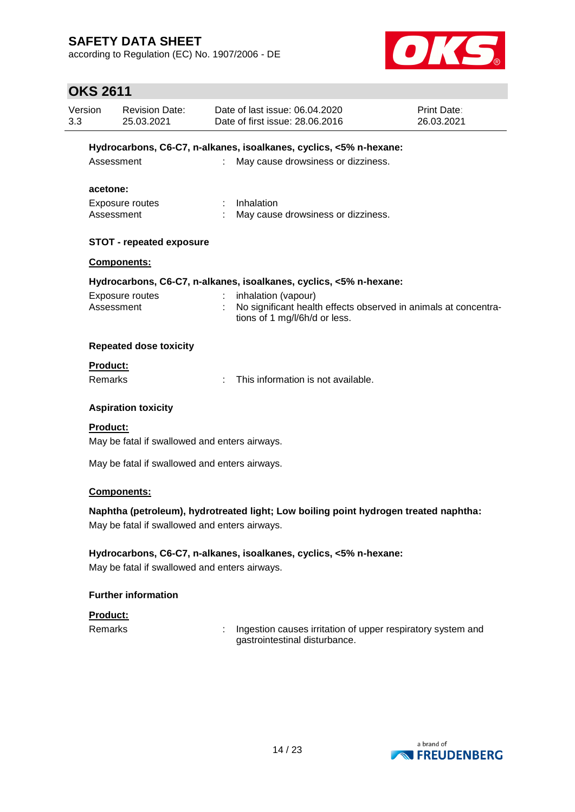according to Regulation (EC) No. 1907/2006 - DE



| 3.3 | Version<br><b>Revision Date:</b><br>25.03.2021 |                                               |    | Date of last issue: 06.04.2020<br>Date of first issue: 28.06.2016                            | Print Date:<br>26.03.2021 |
|-----|------------------------------------------------|-----------------------------------------------|----|----------------------------------------------------------------------------------------------|---------------------------|
|     |                                                |                                               |    | Hydrocarbons, C6-C7, n-alkanes, isoalkanes, cyclics, <5% n-hexane:                           |                           |
|     | Assessment                                     |                                               |    | May cause drowsiness or dizziness.                                                           |                           |
|     |                                                |                                               |    |                                                                                              |                           |
|     | acetone:                                       |                                               |    | Inhalation                                                                                   |                           |
|     | Assessment                                     | Exposure routes                               |    | May cause drowsiness or dizziness.                                                           |                           |
|     |                                                |                                               |    |                                                                                              |                           |
|     |                                                | <b>STOT - repeated exposure</b>               |    |                                                                                              |                           |
|     |                                                | Components:                                   |    |                                                                                              |                           |
|     |                                                |                                               |    | Hydrocarbons, C6-C7, n-alkanes, isoalkanes, cyclics, <5% n-hexane:                           |                           |
|     | Assessment                                     | Exposure routes                               |    | inhalation (vapour)<br>No significant health effects observed in animals at concentra-       |                           |
|     |                                                |                                               |    | tions of 1 mg/l/6h/d or less.                                                                |                           |
|     | <b>Repeated dose toxicity</b>                  |                                               |    |                                                                                              |                           |
|     | <b>Product:</b>                                |                                               |    |                                                                                              |                           |
|     | <b>Remarks</b>                                 |                                               | ÷. | This information is not available.                                                           |                           |
|     | <b>Aspiration toxicity</b>                     |                                               |    |                                                                                              |                           |
|     | <b>Product:</b>                                |                                               |    |                                                                                              |                           |
|     |                                                | May be fatal if swallowed and enters airways. |    |                                                                                              |                           |
|     |                                                | May be fatal if swallowed and enters airways. |    |                                                                                              |                           |
|     |                                                | Components:                                   |    |                                                                                              |                           |
|     |                                                |                                               |    | Naphtha (petroleum), hydrotreated light; Low boiling point hydrogen treated naphtha:         |                           |
|     |                                                | May be fatal if swallowed and enters airways. |    |                                                                                              |                           |
|     |                                                |                                               |    | Hydrocarbons, C6-C7, n-alkanes, isoalkanes, cyclics, <5% n-hexane:                           |                           |
|     |                                                | May be fatal if swallowed and enters airways. |    |                                                                                              |                           |
|     |                                                | <b>Further information</b>                    |    |                                                                                              |                           |
|     | <b>Product:</b>                                |                                               |    |                                                                                              |                           |
|     | <b>Remarks</b>                                 |                                               |    | Ingestion causes irritation of upper respiratory system and<br>gastrointestinal disturbance. |                           |

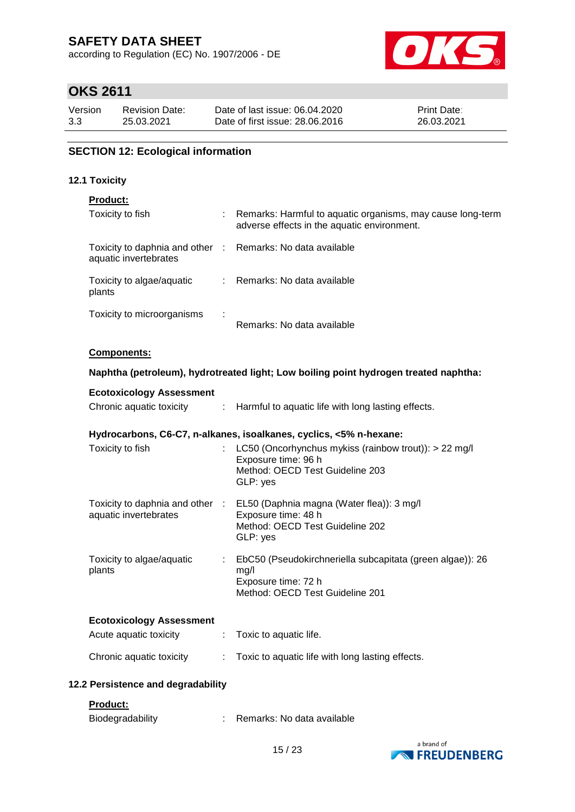according to Regulation (EC) No. 1907/2006 - DE



# **OKS 2611**

| Version | <b>Revision Date:</b> | Date of last issue: 06.04.2020  | <b>Print Date:</b> |
|---------|-----------------------|---------------------------------|--------------------|
| 3.3     | 25.03.2021            | Date of first issue: 28,06,2016 | 26.03.2021         |

### **SECTION 12: Ecological information**

#### **12.1 Toxicity**

### **Product:**

| Toxicity to fish                                                                    | ÷. | Remarks: Harmful to aquatic organisms, may cause long-term<br>adverse effects in the aquatic environment. |
|-------------------------------------------------------------------------------------|----|-----------------------------------------------------------------------------------------------------------|
| Toxicity to daphnia and other : Remarks: No data available<br>aquatic invertebrates |    |                                                                                                           |
| Toxicity to algae/aquatic<br>plants                                                 |    | : Remarks: No data available                                                                              |
| Toxicity to microorganisms                                                          |    | Remarks: No data available                                                                                |

#### **Components:**

#### **Naphtha (petroleum), hydrotreated light; Low boiling point hydrogen treated naphtha:**

| <b>Ecotoxicology Assessment</b>     |                                                                                                                                                 |
|-------------------------------------|-------------------------------------------------------------------------------------------------------------------------------------------------|
|                                     | Chronic aquatic toxicity : Harmful to aquatic life with long lasting effects.                                                                   |
|                                     | Hydrocarbons, C6-C7, n-alkanes, isoalkanes, cyclics, <5% n-hexane:                                                                              |
| Toxicity to fish                    | : LC50 (Oncorhynchus mykiss (rainbow trout)): $> 22$ mg/l<br>Exposure time: 96 h<br>Method: OECD Test Guideline 203<br>GLP: yes                 |
| aquatic invertebrates               | Toxicity to daphnia and other : EL50 (Daphnia magna (Water flea)): 3 mg/l<br>Exposure time: 48 h<br>Method: OECD Test Guideline 202<br>GLP: yes |
| Toxicity to algae/aquatic<br>plants | EbC50 (Pseudokirchneriella subcapitata (green algae)): 26<br>mg/l<br>Exposure time: 72 h<br>Method: OECD Test Guideline 201                     |
| <b>Ecotoxicology Assessment</b>     |                                                                                                                                                 |
| Acute aquatic toxicity              | : Toxic to aquatic life.                                                                                                                        |
| Chronic aquatic toxicity            | : Toxic to aquatic life with long lasting effects.                                                                                              |
| 12.2 Persistence and degradability  |                                                                                                                                                 |

### **Product:**

| Biodegradability |  | Remarks: No data available |  |
|------------------|--|----------------------------|--|
|------------------|--|----------------------------|--|

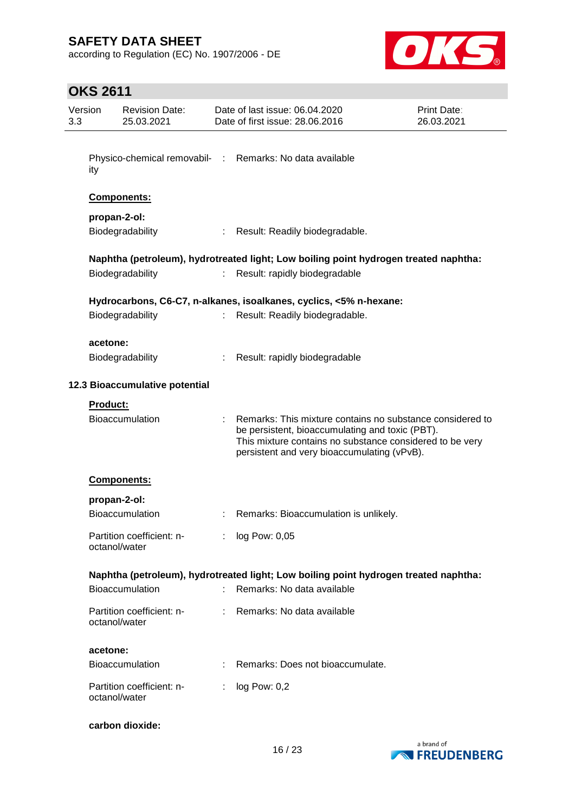according to Regulation (EC) No. 1907/2006 - DE



| Version<br>3.3 |                 | <b>Revision Date:</b><br>25.03.2021        |    | Date of last issue: 06.04.2020<br>Date of first issue: 28.06.2016                                                                                                                                                       | Print Date:<br>26.03.2021 |
|----------------|-----------------|--------------------------------------------|----|-------------------------------------------------------------------------------------------------------------------------------------------------------------------------------------------------------------------------|---------------------------|
|                |                 |                                            |    |                                                                                                                                                                                                                         |                           |
|                | ity             |                                            |    | Physico-chemical removabil- : Remarks: No data available                                                                                                                                                                |                           |
|                |                 | Components:                                |    |                                                                                                                                                                                                                         |                           |
|                |                 | propan-2-ol:                               |    |                                                                                                                                                                                                                         |                           |
|                |                 | Biodegradability                           |    | Result: Readily biodegradable.                                                                                                                                                                                          |                           |
|                |                 |                                            |    | Naphtha (petroleum), hydrotreated light; Low boiling point hydrogen treated naphtha:                                                                                                                                    |                           |
|                |                 | Biodegradability                           |    | Result: rapidly biodegradable                                                                                                                                                                                           |                           |
|                |                 |                                            |    | Hydrocarbons, C6-C7, n-alkanes, isoalkanes, cyclics, <5% n-hexane:                                                                                                                                                      |                           |
|                |                 | Biodegradability                           |    | Result: Readily biodegradable.                                                                                                                                                                                          |                           |
|                |                 |                                            |    |                                                                                                                                                                                                                         |                           |
|                | acetone:        | Biodegradability                           |    | Result: rapidly biodegradable                                                                                                                                                                                           |                           |
|                |                 |                                            |    |                                                                                                                                                                                                                         |                           |
|                |                 | 12.3 Bioaccumulative potential             |    |                                                                                                                                                                                                                         |                           |
|                | <b>Product:</b> |                                            |    |                                                                                                                                                                                                                         |                           |
|                |                 | <b>Bioaccumulation</b>                     |    | Remarks: This mixture contains no substance considered to<br>be persistent, bioaccumulating and toxic (PBT).<br>This mixture contains no substance considered to be very<br>persistent and very bioaccumulating (vPvB). |                           |
|                |                 | Components:                                |    |                                                                                                                                                                                                                         |                           |
|                |                 | propan-2-ol:                               |    |                                                                                                                                                                                                                         |                           |
|                |                 | <b>Bioaccumulation</b>                     |    | Remarks: Bioaccumulation is unlikely.                                                                                                                                                                                   |                           |
|                |                 | Partition coefficient: n-                  |    | $log$ Pow: $0,05$                                                                                                                                                                                                       |                           |
|                |                 | octanol/water                              |    |                                                                                                                                                                                                                         |                           |
|                |                 |                                            |    | Naphtha (petroleum), hydrotreated light; Low boiling point hydrogen treated naphtha:                                                                                                                                    |                           |
|                |                 | Bioaccumulation                            | ÷. | Remarks: No data available                                                                                                                                                                                              |                           |
|                |                 | Partition coefficient: n-<br>octanol/water | t. | Remarks: No data available                                                                                                                                                                                              |                           |
|                | acetone:        |                                            |    |                                                                                                                                                                                                                         |                           |
|                |                 | <b>Bioaccumulation</b>                     |    | Remarks: Does not bioaccumulate.                                                                                                                                                                                        |                           |
|                |                 | Partition coefficient: n-<br>octanol/water |    | log Pow: 0,2                                                                                                                                                                                                            |                           |
|                |                 | carbon dioxide:                            |    |                                                                                                                                                                                                                         |                           |

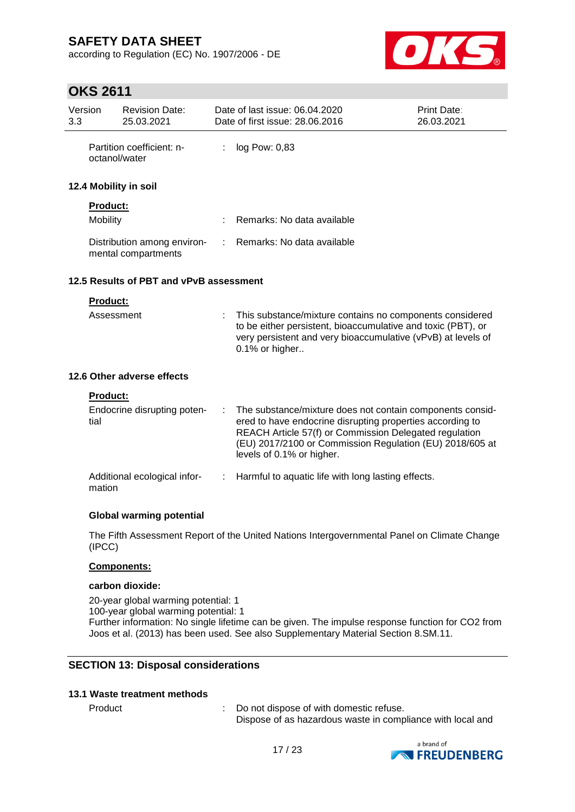according to Regulation (EC) No. 1907/2006 - DE



# **OKS 2611**

| Version<br>3.3 |                 | <b>Revision Date:</b><br>25.03.2021                |   | Date of last issue: 06.04.2020<br>Date of first issue: 28.06.2016                                                                                                                                                                                                         | <b>Print Date:</b><br>26.03.2021 |
|----------------|-----------------|----------------------------------------------------|---|---------------------------------------------------------------------------------------------------------------------------------------------------------------------------------------------------------------------------------------------------------------------------|----------------------------------|
|                | octanol/water   | Partition coefficient: n-                          | ÷ | log Pow: 0,83                                                                                                                                                                                                                                                             |                                  |
|                |                 | 12.4 Mobility in soil                              |   |                                                                                                                                                                                                                                                                           |                                  |
|                | <b>Product:</b> |                                                    |   |                                                                                                                                                                                                                                                                           |                                  |
|                | Mobility        |                                                    |   | Remarks: No data available                                                                                                                                                                                                                                                |                                  |
|                |                 | Distribution among environ-<br>mental compartments |   | Remarks: No data available                                                                                                                                                                                                                                                |                                  |
|                |                 | 12.5 Results of PBT and vPvB assessment            |   |                                                                                                                                                                                                                                                                           |                                  |
|                | Product:        |                                                    |   |                                                                                                                                                                                                                                                                           |                                  |
|                | Assessment      |                                                    |   | This substance/mixture contains no components considered<br>to be either persistent, bioaccumulative and toxic (PBT), or<br>very persistent and very bioaccumulative (vPvB) at levels of<br>0.1% or higher                                                                |                                  |
|                |                 | 12.6 Other adverse effects                         |   |                                                                                                                                                                                                                                                                           |                                  |
|                | <b>Product:</b> |                                                    |   |                                                                                                                                                                                                                                                                           |                                  |
|                | tial            | Endocrine disrupting poten-                        |   | The substance/mixture does not contain components consid-<br>ered to have endocrine disrupting properties according to<br>REACH Article 57(f) or Commission Delegated regulation<br>(EU) 2017/2100 or Commission Regulation (EU) 2018/605 at<br>levels of 0.1% or higher. |                                  |
|                | mation          | Additional ecological infor-                       |   | Harmful to aquatic life with long lasting effects.                                                                                                                                                                                                                        |                                  |
|                |                 | Olahal waxaa ka soo dadka la                       |   |                                                                                                                                                                                                                                                                           |                                  |

### **Global warming potential**

The Fifth Assessment Report of the United Nations Intergovernmental Panel on Climate Change (IPCC)

### **Components:**

#### **carbon dioxide:**

20-year global warming potential: 1 100-year global warming potential: 1 Further information: No single lifetime can be given. The impulse response function for CO2 from Joos et al. (2013) has been used. See also Supplementary Material Section 8.SM.11.

### **SECTION 13: Disposal considerations**

### **13.1 Waste treatment methods**

Product : Do not dispose of with domestic refuse. Dispose of as hazardous waste in compliance with local and

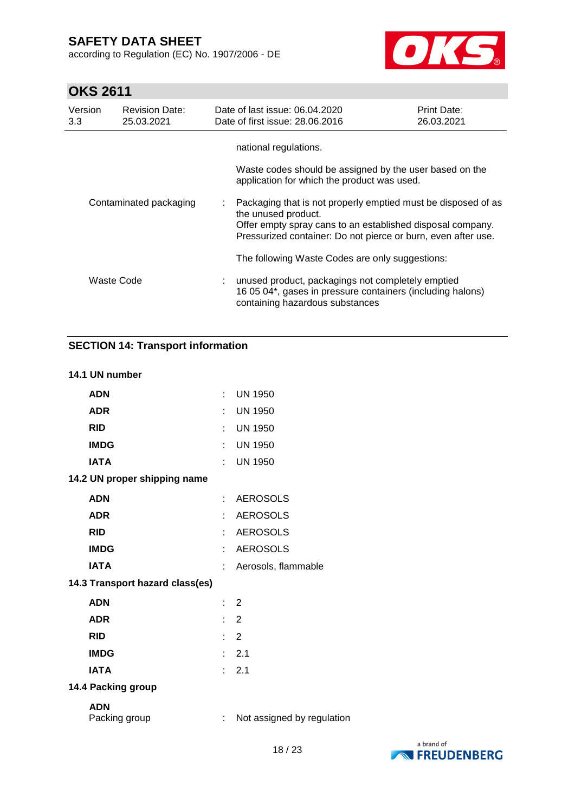according to Regulation (EC) No. 1907/2006 - DE



# **OKS 2611**

| Version<br>3.3         | <b>Revision Date:</b><br>25.03.2021 | Date of last issue: 06.04.2020<br>Date of first issue: 28.06.2016                                                                                                                                                     | <b>Print Date:</b><br>26.03.2021 |
|------------------------|-------------------------------------|-----------------------------------------------------------------------------------------------------------------------------------------------------------------------------------------------------------------------|----------------------------------|
|                        |                                     | national regulations.<br>Waste codes should be assigned by the user based on the<br>application for which the product was used.                                                                                       |                                  |
| Contaminated packaging |                                     | : Packaging that is not properly emptied must be disposed of as<br>the unused product.<br>Offer empty spray cans to an established disposal company.<br>Pressurized container: Do not pierce or burn, even after use. |                                  |
|                        |                                     | The following Waste Codes are only suggestions:                                                                                                                                                                       |                                  |
| Waste Code             |                                     | : unused product, packagings not completely emptied<br>16 05 04*, gases in pressure containers (including halons)<br>containing hazardous substances                                                                  |                                  |

### **SECTION 14: Transport information**

### **14.1 UN number**

| <b>ADN</b>                      |                             | <b>UN 1950</b>             |
|---------------------------------|-----------------------------|----------------------------|
| <b>ADR</b>                      | ÷                           | <b>UN 1950</b>             |
| <b>RID</b>                      | ÷                           | <b>UN 1950</b>             |
| <b>IMDG</b>                     | t                           | <b>UN 1950</b>             |
| <b>IATA</b>                     | t.                          | <b>UN 1950</b>             |
| 14.2 UN proper shipping name    |                             |                            |
| <b>ADN</b>                      | t.                          | <b>AEROSOLS</b>            |
| <b>ADR</b>                      | ÷                           | <b>AEROSOLS</b>            |
| <b>RID</b>                      | ł.                          | <b>AEROSOLS</b>            |
| <b>IMDG</b>                     | ÷                           | <b>AEROSOLS</b>            |
| <b>IATA</b>                     |                             | Aerosols, flammable        |
| 14.3 Transport hazard class(es) |                             |                            |
| <b>ADN</b>                      | t.                          | $\overline{2}$             |
| <b>ADR</b>                      | t.                          | $\overline{2}$             |
| <b>RID</b>                      |                             | $\therefore$ 2             |
| <b>IMDG</b>                     | t.                          | 2.1                        |
| <b>IATA</b>                     | $\mathbf{r}_{\mathrm{max}}$ | 2.1                        |
| 14.4 Packing group              |                             |                            |
| <b>ADN</b><br>Packing group     | ÷                           | Not assigned by regulation |

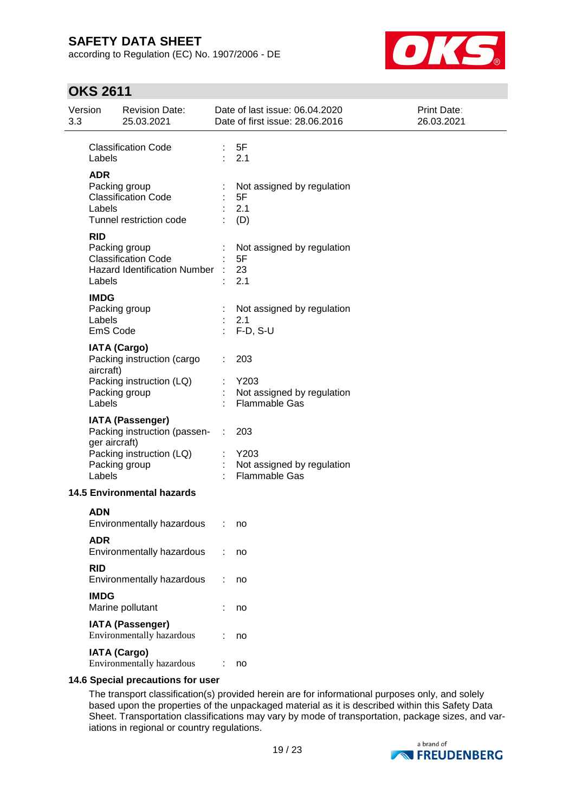according to Regulation (EC) No. 1907/2006 - DE



# **OKS 2611**

| 3.3 | Version                           | <b>Revision Date:</b><br>25.03.2021                                                                  |                       | Date of last issue: 06.04.2020<br>Date of first issue: 28.06.2016     | <b>Print Date:</b><br>26.03.2021 |
|-----|-----------------------------------|------------------------------------------------------------------------------------------------------|-----------------------|-----------------------------------------------------------------------|----------------------------------|
|     | Labels                            | <b>Classification Code</b>                                                                           |                       | : 5F<br>: 2.1                                                         |                                  |
|     | <b>ADR</b><br>Labels              | Packing group<br><b>Classification Code</b><br>Tunnel restriction code                               |                       | Not assigned by regulation<br>5F<br>2.1<br>(D)                        |                                  |
|     | <b>RID</b><br>Labels              | Packing group<br><b>Classification Code</b><br>Hazard Identification Number :                        |                       | Not assigned by regulation<br>5F<br>23<br>2.1                         |                                  |
|     | <b>IMDG</b><br>Labels<br>EmS Code | Packing group                                                                                        | $\mathbb{Z}^{\times}$ | Not assigned by regulation<br>2.1<br>$F-D, S-U$                       |                                  |
|     | aircraft)<br>Labels               | <b>IATA (Cargo)</b><br>Packing instruction (cargo<br>Packing instruction (LQ)<br>Packing group       |                       | 203<br>Y203<br>Not assigned by regulation<br><b>Flammable Gas</b>     |                                  |
|     | ger aircraft)<br>Labels           | <b>IATA (Passenger)</b><br>Packing instruction (passen-<br>Packing instruction (LQ)<br>Packing group | ÷                     | 203<br>$:$ Y203<br>Not assigned by regulation<br><b>Flammable Gas</b> |                                  |
|     |                                   | <b>14.5 Environmental hazards</b>                                                                    |                       |                                                                       |                                  |
|     | <b>ADN</b>                        | Environmentally hazardous                                                                            |                       | no                                                                    |                                  |
|     | <b>ADR</b>                        | Environmentally hazardous                                                                            |                       | no                                                                    |                                  |
|     | <b>RID</b>                        | Environmentally hazardous                                                                            |                       | no                                                                    |                                  |
|     | <b>IMDG</b>                       | Marine pollutant                                                                                     |                       | no                                                                    |                                  |
|     |                                   | <b>IATA (Passenger)</b><br>Environmentally hazardous                                                 |                       | no                                                                    |                                  |
|     |                                   | <b>IATA (Cargo)</b><br>Environmentally hazardous                                                     |                       | no                                                                    |                                  |

### **14.6 Special precautions for user**

The transport classification(s) provided herein are for informational purposes only, and solely based upon the properties of the unpackaged material as it is described within this Safety Data Sheet. Transportation classifications may vary by mode of transportation, package sizes, and variations in regional or country regulations.

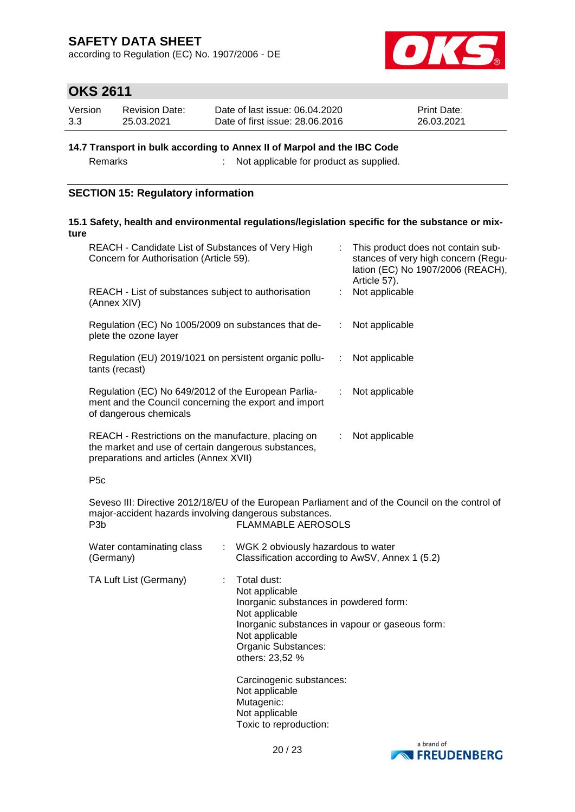according to Regulation (EC) No. 1907/2006 - DE



### **OKS 2611**

| Version | <b>Revision Date:</b> | Date of last issue: 06.04.2020  | <b>Print Date:</b> |
|---------|-----------------------|---------------------------------|--------------------|
| 3.3     | 25.03.2021            | Date of first issue: 28,06,2016 | 26.03.2021         |

### **14.7 Transport in bulk according to Annex II of Marpol and the IBC Code**

Remarks : Not applicable for product as supplied.

### **SECTION 15: Regulatory information**

#### **15.1 Safety, health and environmental regulations/legislation specific for the substance or mixture**

| REACH - Candidate List of Substances of Very High<br>Concern for Authorisation (Article 59).                                                                                                                | This product does not contain sub-<br>stances of very high concern (Regu-<br>lation (EC) No 1907/2006 (REACH),<br>Article 57). |  |  |  |  |  |  |
|-------------------------------------------------------------------------------------------------------------------------------------------------------------------------------------------------------------|--------------------------------------------------------------------------------------------------------------------------------|--|--|--|--|--|--|
| REACH - List of substances subject to authorisation<br>(Annex XIV)                                                                                                                                          | Not applicable                                                                                                                 |  |  |  |  |  |  |
| Regulation (EC) No 1005/2009 on substances that de-<br>plete the ozone layer                                                                                                                                | Not applicable<br>$\mathbb{R}^n$                                                                                               |  |  |  |  |  |  |
| Regulation (EU) 2019/1021 on persistent organic pollu-<br>tants (recast)                                                                                                                                    | Not applicable<br>$\mathcal{I}^{\mathcal{I}}$ .                                                                                |  |  |  |  |  |  |
| Regulation (EC) No 649/2012 of the European Parlia-<br>Not applicable<br>÷<br>ment and the Council concerning the export and import<br>of dangerous chemicals                                               |                                                                                                                                |  |  |  |  |  |  |
| REACH - Restrictions on the manufacture, placing on<br>the market and use of certain dangerous substances,<br>preparations and articles (Annex XVII)                                                        | Not applicable<br>÷.                                                                                                           |  |  |  |  |  |  |
| P <sub>5</sub> c                                                                                                                                                                                            |                                                                                                                                |  |  |  |  |  |  |
| Seveso III: Directive 2012/18/EU of the European Parliament and of the Council on the control of<br>major-accident hazards involving dangerous substances.<br><b>FLAMMABLE AEROSOLS</b><br>P <sub>3</sub> b |                                                                                                                                |  |  |  |  |  |  |
| Water contaminating class<br>(Germany)                                                                                                                                                                      | : WGK 2 obviously hazardous to water<br>Classification according to AwSV, Annex 1 (5.2)                                        |  |  |  |  |  |  |
| TA Luft List (Germany)<br>Total dust:<br>Not applicable                                                                                                                                                     | Inorganic substances in powdered form:                                                                                         |  |  |  |  |  |  |



Carcinogenic substances:

Not applicable

Not applicable Organic Substances: others: 23,52 %

Not applicable Mutagenic: Not applicable Toxic to reproduction:

Inorganic substances in vapour or gaseous form: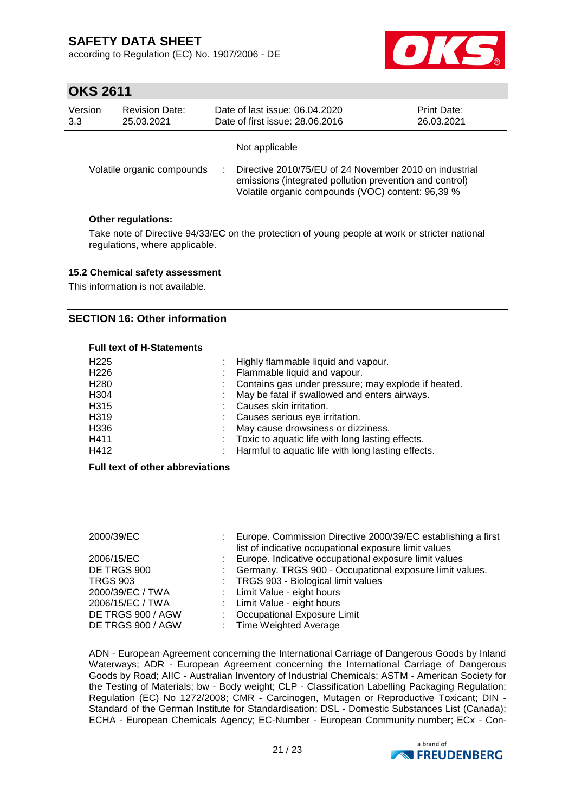according to Regulation (EC) No. 1907/2006 - DE



### **OKS 2611**

| <b>Revision Date:</b><br>Version<br>3.3<br>25.03.2021 |  | Date of last issue: 06.04.2020<br><b>Print Date:</b><br>Date of first issue: 28.06.2016<br>26.03.2021 |                                                                                                                                                                        |  |
|-------------------------------------------------------|--|-------------------------------------------------------------------------------------------------------|------------------------------------------------------------------------------------------------------------------------------------------------------------------------|--|
|                                                       |  |                                                                                                       | Not applicable                                                                                                                                                         |  |
| Volatile organic compounds                            |  |                                                                                                       | Directive 2010/75/EU of 24 November 2010 on industrial<br>emissions (integrated pollution prevention and control)<br>Volatile organic compounds (VOC) content: 96,39 % |  |

### **Other regulations:**

Take note of Directive 94/33/EC on the protection of young people at work or stricter national regulations, where applicable.

### **15.2 Chemical safety assessment**

This information is not available.

### **SECTION 16: Other information**

### **Full text of H-Statements**

| : Highly flammable liquid and vapour.                 |
|-------------------------------------------------------|
| Flammable liquid and vapour.                          |
| : Contains gas under pressure; may explode if heated. |
| May be fatal if swallowed and enters airways.         |
| : Causes skin irritation.                             |
| : Causes serious eye irritation.                      |
| May cause drowsiness or dizziness.                    |
| : Toxic to aquatic life with long lasting effects.    |
| : Harmful to aquatic life with long lasting effects.  |
|                                                       |

#### **Full text of other abbreviations**

| 2000/39/EC        | : Europe. Commission Directive 2000/39/EC establishing a first<br>list of indicative occupational exposure limit values |
|-------------------|-------------------------------------------------------------------------------------------------------------------------|
| 2006/15/EC        | : Europe. Indicative occupational exposure limit values                                                                 |
| DE TRGS 900       | : Germany. TRGS 900 - Occupational exposure limit values.                                                               |
| <b>TRGS 903</b>   | : TRGS 903 - Biological limit values                                                                                    |
| 2000/39/EC / TWA  | : Limit Value - eight hours                                                                                             |
| 2006/15/EC / TWA  | : Limit Value - eight hours                                                                                             |
| DE TRGS 900 / AGW | : Occupational Exposure Limit                                                                                           |
| DE TRGS 900 / AGW | : Time Weighted Average                                                                                                 |

ADN - European Agreement concerning the International Carriage of Dangerous Goods by Inland Waterways; ADR - European Agreement concerning the International Carriage of Dangerous Goods by Road; AIIC - Australian Inventory of Industrial Chemicals; ASTM - American Society for the Testing of Materials; bw - Body weight; CLP - Classification Labelling Packaging Regulation; Regulation (EC) No 1272/2008; CMR - Carcinogen, Mutagen or Reproductive Toxicant; DIN -Standard of the German Institute for Standardisation; DSL - Domestic Substances List (Canada); ECHA - European Chemicals Agency; EC-Number - European Community number; ECx - Con-

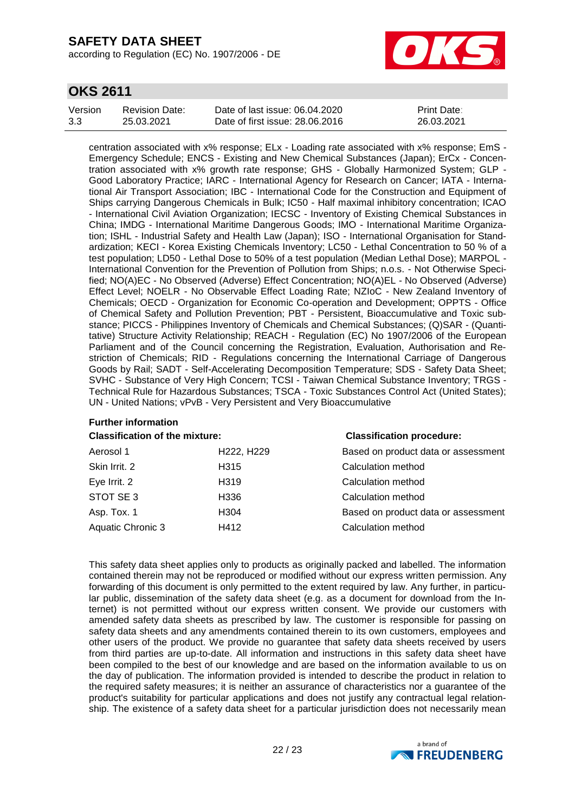according to Regulation (EC) No. 1907/2006 - DE



### **OKS 2611**

| Version | <b>Revision Date:</b> | Date of last issue: 06.04.2020  | <b>Print Date:</b> |
|---------|-----------------------|---------------------------------|--------------------|
| 3.3     | 25.03.2021            | Date of first issue: 28,06,2016 | 26.03.2021         |

centration associated with x% response; ELx - Loading rate associated with x% response; EmS - Emergency Schedule; ENCS - Existing and New Chemical Substances (Japan); ErCx - Concentration associated with x% growth rate response; GHS - Globally Harmonized System; GLP - Good Laboratory Practice; IARC - International Agency for Research on Cancer; IATA - International Air Transport Association; IBC - International Code for the Construction and Equipment of Ships carrying Dangerous Chemicals in Bulk; IC50 - Half maximal inhibitory concentration; ICAO - International Civil Aviation Organization; IECSC - Inventory of Existing Chemical Substances in China; IMDG - International Maritime Dangerous Goods; IMO - International Maritime Organization; ISHL - Industrial Safety and Health Law (Japan); ISO - International Organisation for Standardization; KECI - Korea Existing Chemicals Inventory; LC50 - Lethal Concentration to 50 % of a test population; LD50 - Lethal Dose to 50% of a test population (Median Lethal Dose); MARPOL - International Convention for the Prevention of Pollution from Ships; n.o.s. - Not Otherwise Specified; NO(A)EC - No Observed (Adverse) Effect Concentration; NO(A)EL - No Observed (Adverse) Effect Level; NOELR - No Observable Effect Loading Rate; NZIoC - New Zealand Inventory of Chemicals; OECD - Organization for Economic Co-operation and Development; OPPTS - Office of Chemical Safety and Pollution Prevention; PBT - Persistent, Bioaccumulative and Toxic substance; PICCS - Philippines Inventory of Chemicals and Chemical Substances; (Q)SAR - (Quantitative) Structure Activity Relationship; REACH - Regulation (EC) No 1907/2006 of the European Parliament and of the Council concerning the Registration, Evaluation, Authorisation and Restriction of Chemicals; RID - Regulations concerning the International Carriage of Dangerous Goods by Rail; SADT - Self-Accelerating Decomposition Temperature; SDS - Safety Data Sheet; SVHC - Substance of Very High Concern; TCSI - Taiwan Chemical Substance Inventory; TRGS - Technical Rule for Hazardous Substances; TSCA - Toxic Substances Control Act (United States); UN - United Nations; vPvB - Very Persistent and Very Bioaccumulative

### **Further information**

| <b>Classification of the mixture:</b> |                                     | <b>Classification procedure:</b>    |  |  |
|---------------------------------------|-------------------------------------|-------------------------------------|--|--|
| Aerosol 1                             | H <sub>222</sub> , H <sub>229</sub> | Based on product data or assessment |  |  |
| Skin Irrit. 2                         | H315                                | Calculation method                  |  |  |
| Eye Irrit. 2                          | H319                                | Calculation method                  |  |  |
| STOT SE 3                             | H336                                | Calculation method                  |  |  |
| Asp. Tox. 1                           | H304                                | Based on product data or assessment |  |  |
| Aquatic Chronic 3                     | H412                                | Calculation method                  |  |  |
|                                       |                                     |                                     |  |  |

This safety data sheet applies only to products as originally packed and labelled. The information contained therein may not be reproduced or modified without our express written permission. Any forwarding of this document is only permitted to the extent required by law. Any further, in particular public, dissemination of the safety data sheet (e.g. as a document for download from the Internet) is not permitted without our express written consent. We provide our customers with amended safety data sheets as prescribed by law. The customer is responsible for passing on safety data sheets and any amendments contained therein to its own customers, employees and other users of the product. We provide no guarantee that safety data sheets received by users from third parties are up-to-date. All information and instructions in this safety data sheet have been compiled to the best of our knowledge and are based on the information available to us on the day of publication. The information provided is intended to describe the product in relation to the required safety measures; it is neither an assurance of characteristics nor a guarantee of the product's suitability for particular applications and does not justify any contractual legal relationship. The existence of a safety data sheet for a particular jurisdiction does not necessarily mean